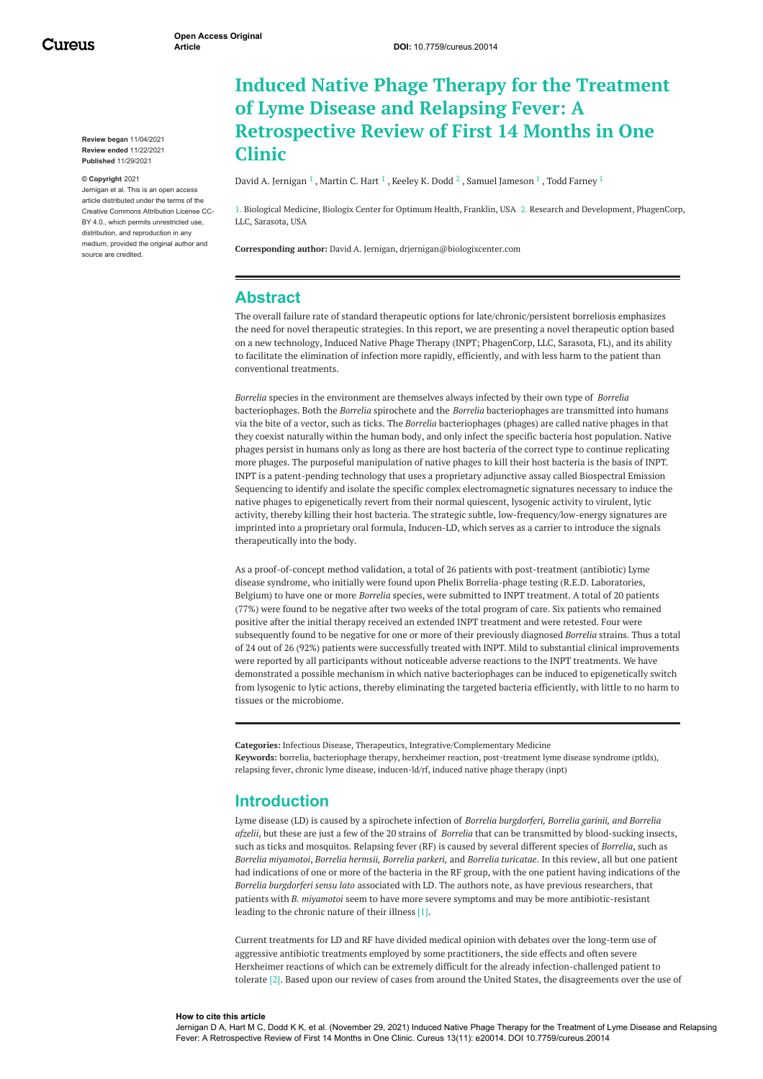Cureus

**Review began** 11/04/2021 **Review ended** 11/22/2021 **Published** 11/29/2021

#### **© Copyright** 2021

Jernigan et al. This is an open access article distributed under the terms of the Creative Commons Attribution License CC-BY 4.0., which permits unrestricted use, distribution, and reproduction in any medium, provided the original author and source are credited.

# **Induced Native Phage Therapy for the Treatment of Lyme Disease and Relapsing Fever: A Retrospective Review of First 14 Months in One Clinic**

David A. [Jernigan](https://www.cureus.com/users/295512-david-a-jernigan)  $^1$  , [Martin](https://www.cureus.com/users/297937-martin-c-hart) C. Hart  $^1$  , [Keeley](https://www.cureus.com/users/297939-keeley-k-dodd) K. Dodd  $^2$  , Samuel [Jameson](https://www.cureus.com/users/297945-samuel-w-jameson-iii)  $^1$  , Todd [Farney](https://www.cureus.com/users/297942-todd-farney)  $^1$ 

1. Biological Medicine, Biologix Center for Optimum Health, Franklin, USA 2. Research and Development, PhagenCorp, LLC, Sarasota, USA

**Corresponding author:** David A. Jernigan, drjernigan@biologixcenter.com

### **Abstract**

The overall failure rate of standard therapeutic options for late/chronic/persistent borreliosis emphasizes the need for novel therapeutic strategies. In this report, we are presenting a novel therapeutic option based on a new technology, Induced Native Phage Therapy (INPT; PhagenCorp, LLC, Sarasota, FL), and its ability to facilitate the elimination of infection more rapidly, efficiently, and with less harm to the patient than conventional treatments.

*Borrelia* species in the environment are themselves always infected by their own type of *Borrelia* bacteriophages. Both the *Borrelia* spirochete and the *Borrelia* bacteriophages are transmitted into humans via the bite of a vector, such as ticks. The *Borrelia* bacteriophages (phages) are called native phages in that they coexist naturally within the human body, and only infect the specific bacteria host population. Native phages persist in humans only as long as there are host bacteria of the correct type to continue replicating more phages. The purposeful manipulation of native phages to kill their host bacteria is the basis of INPT. INPT is a patent-pending technology that uses a proprietary adjunctive assay called Biospectral Emission Sequencing to identify and isolate the specific complex electromagnetic signatures necessary to induce the native phages to epigenetically revert from their normal quiescent, lysogenic activity to virulent, lytic activity, thereby killing their host bacteria. The strategic subtle, low-frequency/low-energy signatures are imprinted into a proprietary oral formula, Inducen-LD, which serves as a carrier to introduce the signals therapeutically into the body.

As a proof-of-concept method validation, a total of 26 patients with post-treatment (antibiotic) Lyme disease syndrome, who initially were found upon Phelix Borrelia-phage testing (R.E.D. Laboratories, Belgium) to have one or more *Borrelia* species, were submitted to INPT treatment. A total of 20 patients (77%) were found to be negative after two weeks of the total program of care. Six patients who remained positive after the initial therapy received an extended INPT treatment and were retested. Four were subsequently found to be negative for one or more of their previously diagnosed *Borrelia* strains. Thus a total of 24 out of 26 (92%) patients were successfully treated with INPT. Mild to substantial clinical improvements were reported by all participants without noticeable adverse reactions to the INPT treatments. We have demonstrated a possible mechanism in which native bacteriophages can be induced to epigenetically switch from lysogenic to lytic actions, thereby eliminating the targeted bacteria efficiently, with little to no harm to tissues or the microbiome.

**Categories:** Infectious Disease, Therapeutics, Integrative/Complementary Medicine **Keywords:** borrelia, bacteriophage therapy, herxheimer reaction, post-treatment lyme disease syndrome (ptlds), relapsing fever, chronic lyme disease, inducen-ld/rf, induced native phage therapy (inpt)

# **Introduction**

Lyme disease (LD) is caused by a spirochete infection of *Borrelia burgdorferi, Borrelia garinii, and Borrelia afzelii,* but these are just a few of the 20 strains of *Borrelia* that can be transmitted by blood-sucking insects, such as ticks and mosquitos. Relapsing fever (RF) is caused by several different species of *Borrelia*, such as *Borrelia miyamotoi*, *Borrelia hermsii, Borrelia parkeri,* and *Borrelia turicatae*. In this review, all but one patient had indications of one or more of the bacteria in the RF group, with the one patient having indications of the *Borrelia burgdorferi sensu lato* associated with LD. The authors note, as have previous researchers, that patients with *B. miyamotoi* seem to have more severe symptoms and may be more antibiotic-resistant leading to the chronic nature of their illness [1].

Current treatments for LD and RF have divided medical opinion with debates over the long-term use of aggressive antibiotic treatments employed by some practitioners, the side effects and often severe Herxheimer reactions of which can be extremely difficult for the already infection-challenged patient to tolerate [2]. Based upon our review of cases from around the United States, the disagreements over the use of

#### **How to cite this article**

Jernigan D A, Hart M C, Dodd K K, et al. (November 29, 2021) Induced Native Phage Therapy for the Treatment of Lyme Disease and Relapsing Fever: A Retrospective Review of First 14 Months in One Clinic. Cureus 13(11): e20014. DOI 10.7759/cureus.20014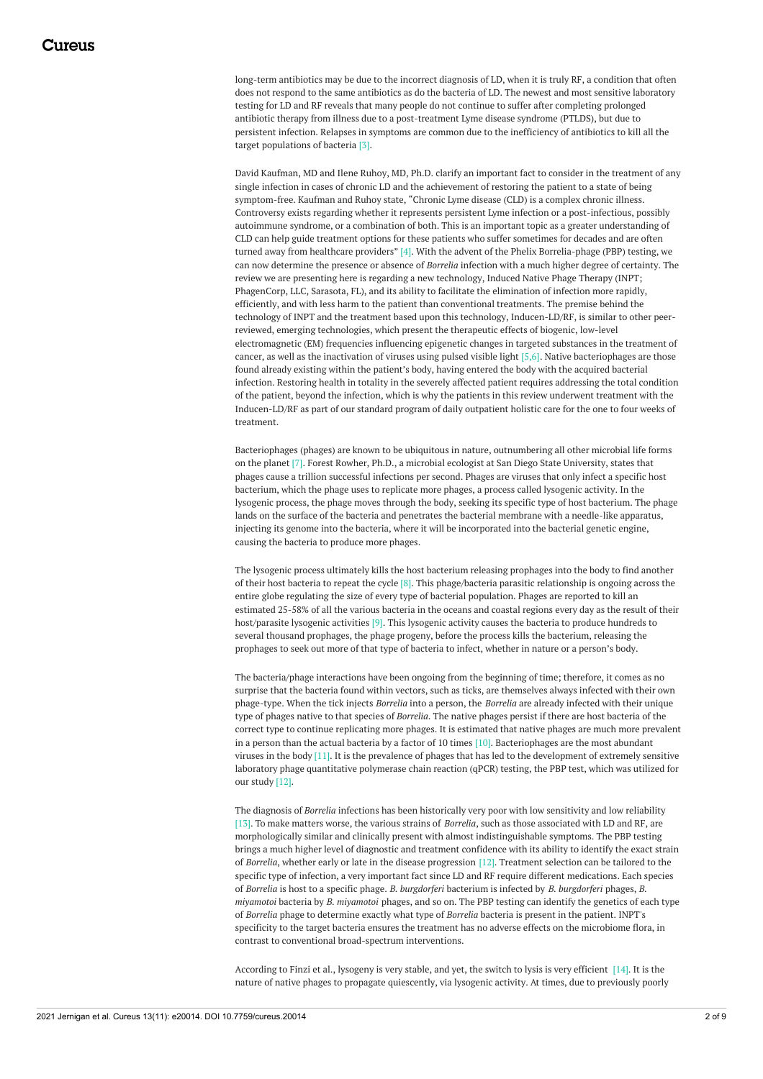long-term antibiotics may be due to the incorrect diagnosis of LD, when it is truly RF, a condition that often does not respond to the same antibiotics as do the bacteria of LD. The newest and most sensitive laboratory testing for LD and RF reveals that many people do not continue to suffer after completing prolonged antibiotic therapy from illness due to a post-treatment Lyme disease syndrome (PTLDS), but due to persistent infection. Relapses in symptoms are common due to the inefficiency of antibiotics to kill all the target populations of bacteria [3].

David Kaufman, MD and Ilene Ruhoy, MD, Ph.D. clarify an important fact to consider in the treatment of any single infection in cases of chronic LD and the achievement of restoring the patient to a state of being symptom-free. Kaufman and Ruhoy state, "Chronic Lyme disease (CLD) is a complex chronic illness. Controversy exists regarding whether it represents persistent Lyme infection or a post-infectious, possibly autoimmune syndrome, or a combination of both. This is an important topic as a greater understanding of CLD can help guide treatment options for these patients who suffer sometimes for decades and are often turned away from healthcare providers" [4]. With the advent of the Phelix Borrelia-phage (PBP) testing, we can now determine the presence or absence of *Borrelia* infection with a much higher degree of certainty. The review we are presenting here is regarding a new technology, Induced Native Phage Therapy (INPT; PhagenCorp, LLC, Sarasota, FL), and its ability to facilitate the elimination of infection more rapidly, efficiently, and with less harm to the patient than conventional treatments. The premise behind the technology of INPT and the treatment based upon this technology, Inducen-LD/RF, is similar to other peerreviewed, emerging technologies, which present the therapeutic effects of biogenic, low-level electromagnetic (EM) frequencies influencing epigenetic changes in targeted substances in the treatment of cancer, as well as the inactivation of viruses using pulsed visible light [5,6]. Native bacteriophages are those found already existing within the patient's body, having entered the body with the acquired bacterial infection. Restoring health in totality in the severely affected patient requires addressing the total condition of the patient, beyond the infection, which is why the patients in this review underwent treatment with the Inducen-LD/RF as part of our standard program of daily outpatient holistic care for the one to four weeks of treatment.

Bacteriophages (phages) are known to be ubiquitous in nature, outnumbering all other microbial life forms on the planet [7]. Forest Rowher, Ph.D., a microbial ecologist at San Diego State University, states that phages cause a trillion successful infections per second. Phages are viruses that only infect a specific host bacterium, which the phage uses to replicate more phages, a process called lysogenic activity. In the lysogenic process, the phage moves through the body, seeking its specific type of host bacterium. The phage lands on the surface of the bacteria and penetrates the bacterial membrane with a needle-like apparatus, injecting its genome into the bacteria, where it will be incorporated into the bacterial genetic engine, causing the bacteria to produce more phages.

The lysogenic process ultimately kills the host bacterium releasing prophages into the body to find another of their host bacteria to repeat the cycle [8]. This phage/bacteria parasitic relationship is ongoing across the entire globe regulating the size of every type of bacterial population. Phages are reported to kill an estimated 25-58% of all the various bacteria in the oceans and coastal regions every day as the result of their host/parasite lysogenic activities [9]. This lysogenic activity causes the bacteria to produce hundreds to several thousand prophages, the phage progeny, before the process kills the bacterium, releasing the prophages to seek out more of that type of bacteria to infect, whether in nature or a person's body.

The bacteria/phage interactions have been ongoing from the beginning of time; therefore, it comes as no surprise that the bacteria found within vectors, such as ticks, are themselves always infected with their own phage-type. When the tick injects *Borrelia* into a person, the *Borrelia* are already infected with their unique type of phages native to that species of *Borrelia*. The native phages persist if there are host bacteria of the correct type to continue replicating more phages. It is estimated that native phages are much more prevalent in a person than the actual bacteria by a factor of 10 times [10]. Bacteriophages are the most abundant viruses in the body [11]. It is the prevalence of phages that has led to the development of extremely sensitive laboratory phage quantitative polymerase chain reaction (qPCR) testing, the PBP test, which was utilized for our study [12].

The diagnosis of *Borrelia* infections has been historically very poor with low sensitivity and low reliability [13]. To make matters worse, the various strains of *Borrelia*, such as those associated with LD and RF, are morphologically similar and clinically present with almost indistinguishable symptoms. The PBP testing brings a much higher level of diagnostic and treatment confidence with its ability to identify the exact strain of *Borrelia*, whether early or late in the disease progression [12]. Treatment selection can be tailored to the specific type of infection, a very important fact since LD and RF require different medications. Each species of *Borrelia* is host to a specific phage. *B. burgdorferi* bacterium is infected by *B. burgdorferi* phages, *B. miyamotoi* bacteria by *B. miyamotoi* phages, and so on. The PBP testing can identify the genetics of each type of *Borrelia* phage to determine exactly what type of *Borrelia* bacteria is present in the patient. INPT's specificity to the target bacteria ensures the treatment has no adverse effects on the microbiome flora, in contrast to conventional broad-spectrum interventions.

According to Finzi et al., lysogeny is very stable, and yet, the switch to lysis is very efficient [14]. It is the nature of native phages to propagate quiescently, via lysogenic activity. At times, due to previously poorly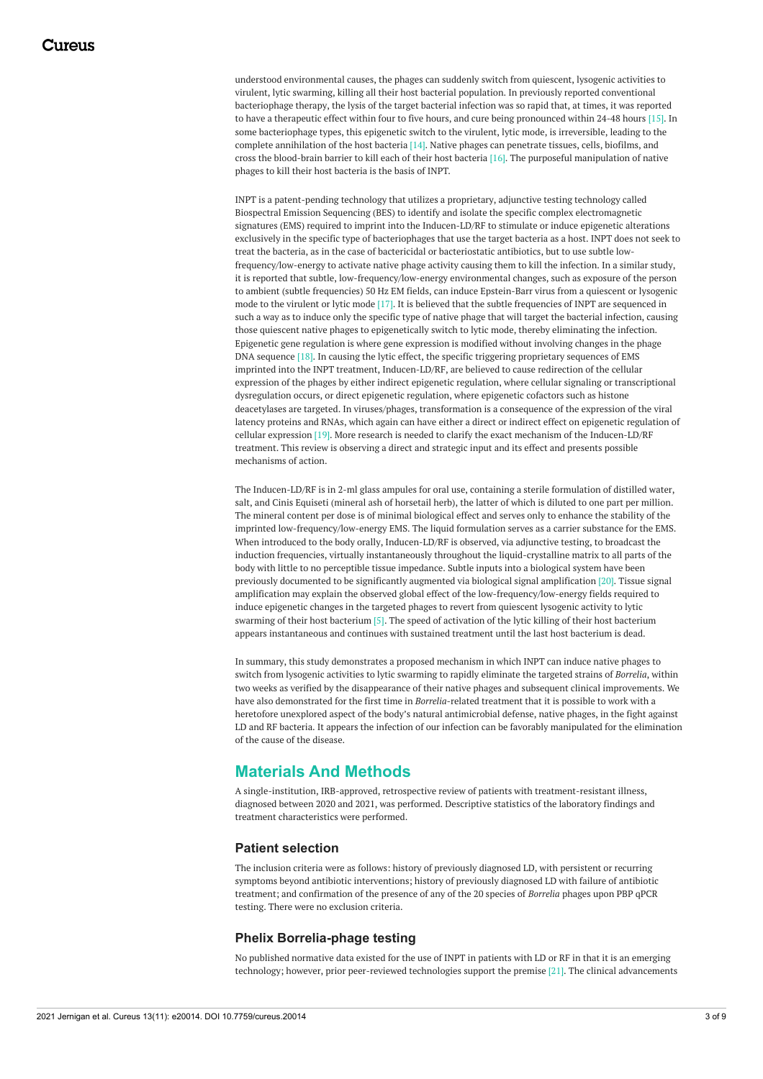understood environmental causes, the phages can suddenly switch from quiescent, lysogenic activities to virulent, lytic swarming, killing all their host bacterial population. In previously reported conventional bacteriophage therapy, the lysis of the target bacterial infection was so rapid that, at times, it was reported to have a therapeutic effect within four to five hours, and cure being pronounced within 24-48 hours [15]. In some bacteriophage types, this epigenetic switch to the virulent, lytic mode, is irreversible, leading to the complete annihilation of the host bacteria [14]. Native phages can penetrate tissues, cells, biofilms, and cross the blood-brain barrier to kill each of their host bacteria [16]. The purposeful manipulation of native phages to kill their host bacteria is the basis of INPT.

INPT is a patent-pending technology that utilizes a proprietary, adjunctive testing technology called Biospectral Emission Sequencing (BES) to identify and isolate the specific complex electromagnetic signatures (EMS) required to imprint into the Inducen-LD/RF to stimulate or induce epigenetic alterations exclusively in the specific type of bacteriophages that use the target bacteria as a host. INPT does not seek to treat the bacteria, as in the case of bactericidal or bacteriostatic antibiotics, but to use subtle lowfrequency/low-energy to activate native phage activity causing them to kill the infection. In a similar study, it is reported that subtle, low-frequency/low-energy environmental changes, such as exposure of the person to ambient (subtle frequencies) 50 Hz EM fields, can induce Epstein-Barr virus from a quiescent or lysogenic mode to the virulent or lytic mode [17]. It is believed that the subtle frequencies of INPT are sequenced in such a way as to induce only the specific type of native phage that will target the bacterial infection, causing those quiescent native phages to epigenetically switch to lytic mode, thereby eliminating the infection. Epigenetic gene regulation is where gene expression is modified without involving changes in the phage DNA sequence [18]. In causing the lytic effect, the specific triggering proprietary sequences of EMS imprinted into the INPT treatment, Inducen-LD/RF, are believed to cause redirection of the cellular expression of the phages by either indirect epigenetic regulation, where cellular signaling or transcriptional dysregulation occurs, or direct epigenetic regulation, where epigenetic cofactors such as histone deacetylases are targeted. In viruses/phages, transformation is a consequence of the expression of the viral latency proteins and RNAs, which again can have either a direct or indirect effect on epigenetic regulation of cellular expression [19]. More research is needed to clarify the exact mechanism of the Inducen-LD/RF treatment. This review is observing a direct and strategic input and its effect and presents possible mechanisms of action.

The Inducen-LD/RF is in 2-ml glass ampules for oral use, containing a sterile formulation of distilled water, salt, and Cinis Equiseti (mineral ash of horsetail herb), the latter of which is diluted to one part per million. The mineral content per dose is of minimal biological effect and serves only to enhance the stability of the imprinted low-frequency/low-energy EMS. The liquid formulation serves as a carrier substance for the EMS. When introduced to the body orally, Inducen-LD/RF is observed, via adjunctive testing, to broadcast the induction frequencies, virtually instantaneously throughout the liquid-crystalline matrix to all parts of the body with little to no perceptible tissue impedance. Subtle inputs into a biological system have been previously documented to be significantly augmented via biological signal amplification [20]. Tissue signal amplification may explain the observed global effect of the low-frequency/low-energy fields required to induce epigenetic changes in the targeted phages to revert from quiescent lysogenic activity to lytic swarming of their host bacterium [5]. The speed of activation of the lytic killing of their host bacterium appears instantaneous and continues with sustained treatment until the last host bacterium is dead.

In summary, this study demonstrates a proposed mechanism in which INPT can induce native phages to switch from lysogenic activities to lytic swarming to rapidly eliminate the targeted strains of *Borrelia*, within two weeks as verified by the disappearance of their native phages and subsequent clinical improvements. We have also demonstrated for the first time in *Borrelia*-related treatment that it is possible to work with a heretofore unexplored aspect of the body's natural antimicrobial defense, native phages, in the fight against LD and RF bacteria. It appears the infection of our infection can be favorably manipulated for the elimination of the cause of the disease.

# **Materials And Methods**

A single-institution, IRB-approved, retrospective review of patients with treatment-resistant illness, diagnosed between 2020 and 2021, was performed. Descriptive statistics of the laboratory findings and treatment characteristics were performed.

#### **Patient selection**

The inclusion criteria were as follows: history of previously diagnosed LD, with persistent or recurring symptoms beyond antibiotic interventions; history of previously diagnosed LD with failure of antibiotic treatment; and confirmation of the presence of any of the 20 species of *Borrelia* phages upon PBP qPCR testing. There were no exclusion criteria.

#### **Phelix Borrelia-phage testing**

No published normative data existed for the use of INPT in patients with LD or RF in that it is an emerging technology; however, prior peer-reviewed technologies support the premise [21]. The clinical advancements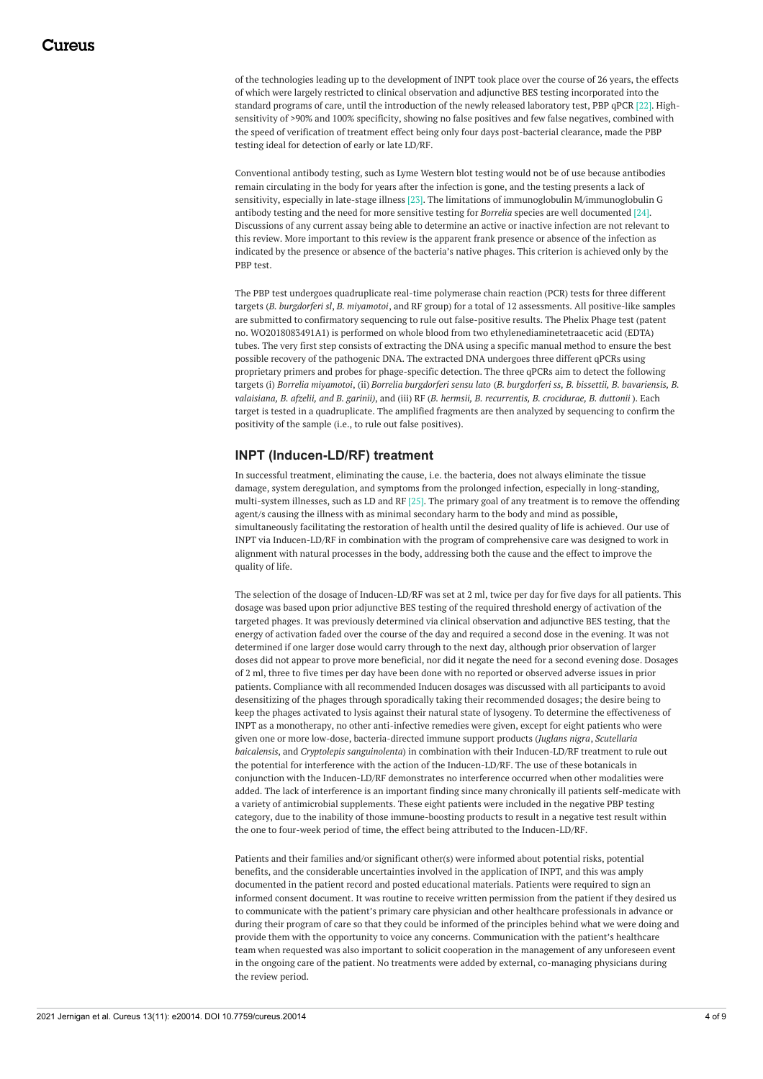of the technologies leading up to the development of INPT took place over the course of 26 years, the effects of which were largely restricted to clinical observation and adjunctive BES testing incorporated into the standard programs of care, until the introduction of the newly released laboratory test, PBP qPCR [22]. Highsensitivity of >90% and 100% specificity, showing no false positives and few false negatives, combined with the speed of verification of treatment effect being only four days post-bacterial clearance, made the PBP testing ideal for detection of early or late LD/RF.

Conventional antibody testing, such as Lyme Western blot testing would not be of use because antibodies remain circulating in the body for years after the infection is gone, and the testing presents a lack of sensitivity, especially in late-stage illness [23]. The limitations of immunoglobulin M/immunoglobulin G antibody testing and the need for more sensitive testing for *Borrelia* species are well documented [24]. Discussions of any current assay being able to determine an active or inactive infection are not relevant to this review. More important to this review is the apparent frank presence or absence of the infection as indicated by the presence or absence of the bacteria's native phages. This criterion is achieved only by the PBP test.

The PBP test undergoes quadruplicate real-time polymerase chain reaction (PCR) tests for three different targets (*B. burgdorferi sl*, *B. miyamotoi*, and RF group) for a total of 12 assessments. All positive-like samples are submitted to confirmatory sequencing to rule out false-positive results. The Phelix Phage test (patent no. WO2018083491A1) is performed on whole blood from two ethylenediaminetetraacetic acid (EDTA) tubes. The very first step consists of extracting the DNA using a specific manual method to ensure the best possible recovery of the pathogenic DNA. The extracted DNA undergoes three different qPCRs using proprietary primers and probes for phage-specific detection. The three qPCRs aim to detect the following targets (i) *Borrelia miyamotoi*, (ii) *Borrelia burgdorferi sensu lato* (*B. burgdorferi ss, B. bissettii, B. bavariensis, B. valaisiana, B. afzelii, and B. garinii)*, and (iii) RF (*B. hermsii, B. recurrentis, B. crocidurae, B. duttonii* ). Each target is tested in a quadruplicate. The amplified fragments are then analyzed by sequencing to confirm the positivity of the sample (i.e., to rule out false positives).

#### **INPT (Inducen-LD/RF) treatment**

In successful treatment, eliminating the cause, i.e. the bacteria, does not always eliminate the tissue damage, system deregulation, and symptoms from the prolonged infection, especially in long-standing, multi-system illnesses, such as LD and RF [25]. The primary goal of any treatment is to remove the offending agent/s causing the illness with as minimal secondary harm to the body and mind as possible, simultaneously facilitating the restoration of health until the desired quality of life is achieved. Our use of INPT via Inducen-LD/RF in combination with the program of comprehensive care was designed to work in alignment with natural processes in the body, addressing both the cause and the effect to improve the quality of life.

The selection of the dosage of Inducen-LD/RF was set at 2 ml, twice per day for five days for all patients. This dosage was based upon prior adjunctive BES testing of the required threshold energy of activation of the targeted phages. It was previously determined via clinical observation and adjunctive BES testing, that the energy of activation faded over the course of the day and required a second dose in the evening. It was not determined if one larger dose would carry through to the next day, although prior observation of larger doses did not appear to prove more beneficial, nor did it negate the need for a second evening dose. Dosages of 2 ml, three to five times per day have been done with no reported or observed adverse issues in prior patients. Compliance with all recommended Inducen dosages was discussed with all participants to avoid desensitizing of the phages through sporadically taking their recommended dosages; the desire being to keep the phages activated to lysis against their natural state of lysogeny. To determine the effectiveness of INPT as a monotherapy, no other anti-infective remedies were given, except for eight patients who were given one or more low-dose, bacteria-directed immune support products (*Juglans nigra*, *Scutellaria baicalensis*, and *Cryptolepis sanguinolenta*) in combination with their Inducen-LD/RF treatment to rule out the potential for interference with the action of the Inducen-LD/RF. The use of these botanicals in conjunction with the Inducen-LD/RF demonstrates no interference occurred when other modalities were added. The lack of interference is an important finding since many chronically ill patients self-medicate with a variety of antimicrobial supplements. These eight patients were included in the negative PBP testing category, due to the inability of those immune-boosting products to result in a negative test result within the one to four-week period of time, the effect being attributed to the Inducen-LD/RF.

Patients and their families and/or significant other(s) were informed about potential risks, potential benefits, and the considerable uncertainties involved in the application of INPT, and this was amply documented in the patient record and posted educational materials. Patients were required to sign an informed consent document. It was routine to receive written permission from the patient if they desired us to communicate with the patient's primary care physician and other healthcare professionals in advance or during their program of care so that they could be informed of the principles behind what we were doing and provide them with the opportunity to voice any concerns. Communication with the patient's healthcare team when requested was also important to solicit cooperation in the management of any unforeseen event in the ongoing care of the patient. No treatments were added by external, co-managing physicians during the review period.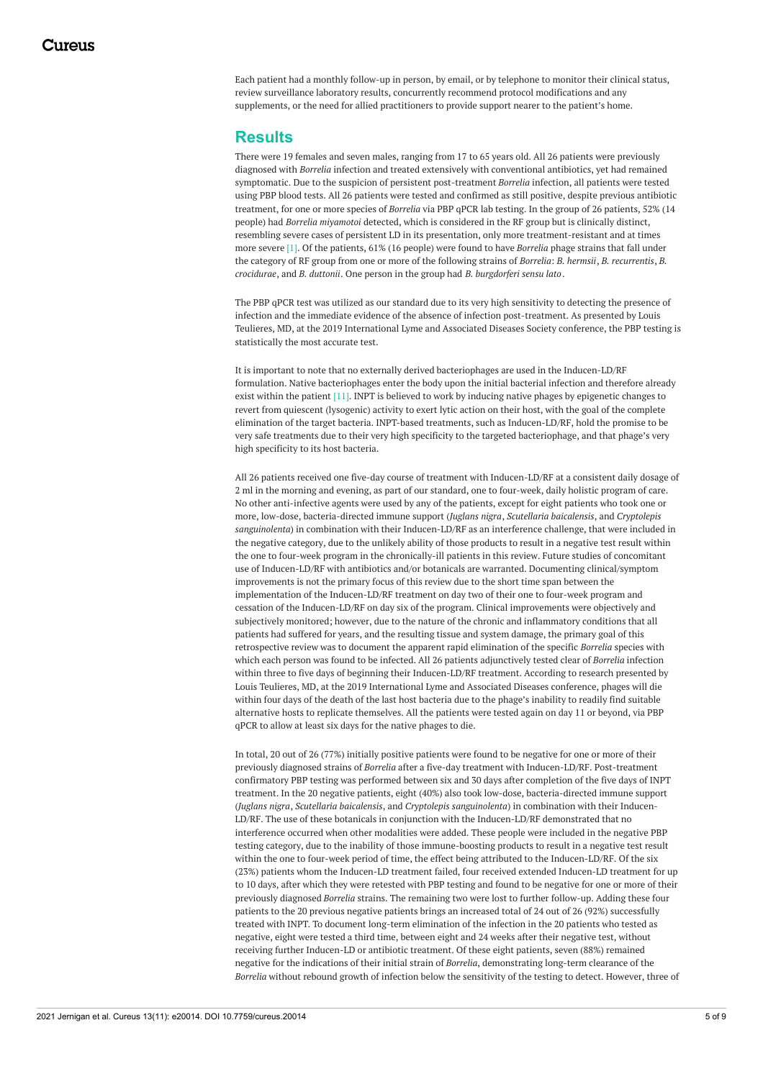Each patient had a monthly follow-up in person, by email, or by telephone to monitor their clinical status, review surveillance laboratory results, concurrently recommend protocol modifications and any supplements, or the need for allied practitioners to provide support nearer to the patient's home.

### **Results**

There were 19 females and seven males, ranging from 17 to 65 years old. All 26 patients were previously diagnosed with *Borrelia* infection and treated extensively with conventional antibiotics, yet had remained symptomatic. Due to the suspicion of persistent post-treatment *Borrelia* infection, all patients were tested using PBP blood tests. All 26 patients were tested and confirmed as still positive, despite previous antibiotic treatment, for one or more species of *Borrelia* via PBP qPCR lab testing. In the group of 26 patients, 52% (14 people) had *Borrelia miyamotoi* detected, which is considered in the RF group but is clinically distinct, resembling severe cases of persistent LD in its presentation, only more treatment-resistant and at times more severe [1]. Of the patients, 61% (16 people) were found to have *Borrelia* phage strains that fall under the category of RF group from one or more of the following strains of *Borrelia*: *B. hermsii*, *B. recurrentis*, *B. crocidurae*, and *B. duttonii*. One person in the group had *B. burgdorferi sensu lato*.

The PBP qPCR test was utilized as our standard due to its very high sensitivity to detecting the presence of infection and the immediate evidence of the absence of infection post-treatment. As presented by Louis Teulieres, MD, at the 2019 International Lyme and Associated Diseases Society conference, the PBP testing is statistically the most accurate test.

It is important to note that no externally derived bacteriophages are used in the Inducen-LD/RF formulation. Native bacteriophages enter the body upon the initial bacterial infection and therefore already exist within the patient [11]. INPT is believed to work by inducing native phages by epigenetic changes to revert from quiescent (lysogenic) activity to exert lytic action on their host, with the goal of the complete elimination of the target bacteria. INPT-based treatments, such as Inducen-LD/RF, hold the promise to be very safe treatments due to their very high specificity to the targeted bacteriophage, and that phage's very high specificity to its host bacteria.

All 26 patients received one five-day course of treatment with Inducen-LD/RF at a consistent daily dosage of 2 ml in the morning and evening, as part of our standard, one to four-week, daily holistic program of care. No other anti-infective agents were used by any of the patients, except for eight patients who took one or more, low-dose, bacteria-directed immune support (*Juglans nigra*, *Scutellaria baicalensis*, and *Cryptolepis sanguinolenta*) in combination with their Inducen-LD/RF as an interference challenge, that were included in the negative category, due to the unlikely ability of those products to result in a negative test result within the one to four-week program in the chronically-ill patients in this review. Future studies of concomitant use of Inducen-LD/RF with antibiotics and/or botanicals are warranted. Documenting clinical/symptom improvements is not the primary focus of this review due to the short time span between the implementation of the Inducen-LD/RF treatment on day two of their one to four-week program and cessation of the Inducen-LD/RF on day six of the program. Clinical improvements were objectively and subjectively monitored; however, due to the nature of the chronic and inflammatory conditions that all patients had suffered for years, and the resulting tissue and system damage, the primary goal of this retrospective review was to document the apparent rapid elimination of the specific *Borrelia* species with which each person was found to be infected. All 26 patients adjunctively tested clear of *Borrelia* infection within three to five days of beginning their Inducen-LD/RF treatment. According to research presented by Louis Teulieres, MD, at the 2019 International Lyme and Associated Diseases conference, phages will die within four days of the death of the last host bacteria due to the phage's inability to readily find suitable alternative hosts to replicate themselves. All the patients were tested again on day 11 or beyond, via PBP qPCR to allow at least six days for the native phages to die.

In total, 20 out of 26 (77%) initially positive patients were found to be negative for one or more of their previously diagnosed strains of *Borrelia* after a five-day treatment with Inducen-LD/RF. Post-treatment confirmatory PBP testing was performed between six and 30 days after completion of the five days of INPT treatment. In the 20 negative patients, eight (40%) also took low-dose, bacteria-directed immune support (*Juglans nigra*, *Scutellaria baicalensis*, and *Cryptolepis sanguinolenta*) in combination with their Inducen-LD/RF. The use of these botanicals in conjunction with the Inducen-LD/RF demonstrated that no interference occurred when other modalities were added. These people were included in the negative PBP testing category, due to the inability of those immune-boosting products to result in a negative test result within the one to four-week period of time, the effect being attributed to the Inducen-LD/RF. Of the six (23%) patients whom the Inducen-LD treatment failed, four received extended Inducen-LD treatment for up to 10 days, after which they were retested with PBP testing and found to be negative for one or more of their previously diagnosed *Borrelia* strains. The remaining two were lost to further follow-up. Adding these four patients to the 20 previous negative patients brings an increased total of 24 out of 26 (92%) successfully treated with INPT. To document long-term elimination of the infection in the 20 patients who tested as negative, eight were tested a third time, between eight and 24 weeks after their negative test, without receiving further Inducen-LD or antibiotic treatment. Of these eight patients, seven (88%) remained negative for the indications of their initial strain of *Borrelia*, demonstrating long-term clearance of the *Borrelia* without rebound growth of infection below the sensitivity of the testing to detect. However, three of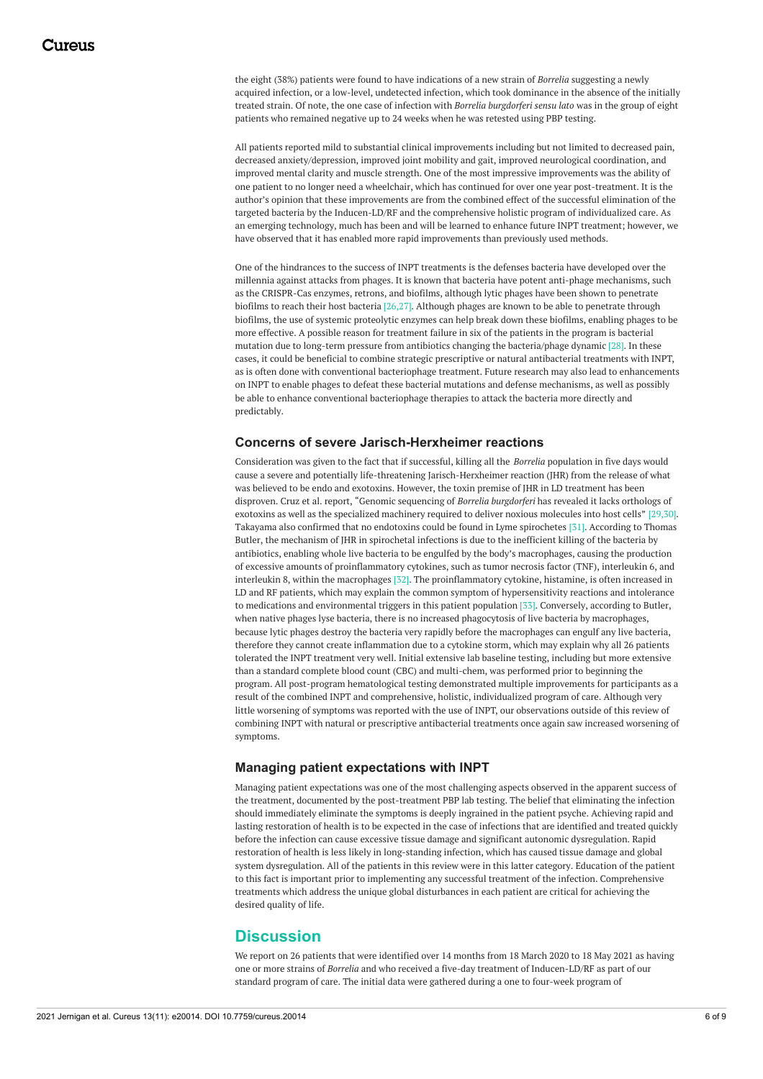the eight (38%) patients were found to have indications of a new strain of *Borrelia* suggesting a newly acquired infection, or a low-level, undetected infection, which took dominance in the absence of the initially treated strain. Of note, the one case of infection with *Borrelia burgdorferi sensu lato* was in the group of eight patients who remained negative up to 24 weeks when he was retested using PBP testing.

All patients reported mild to substantial clinical improvements including but not limited to decreased pain, decreased anxiety/depression, improved joint mobility and gait, improved neurological coordination, and improved mental clarity and muscle strength. One of the most impressive improvements was the ability of one patient to no longer need a wheelchair, which has continued for over one year post-treatment. It is the author's opinion that these improvements are from the combined effect of the successful elimination of the targeted bacteria by the Inducen-LD/RF and the comprehensive holistic program of individualized care. As an emerging technology, much has been and will be learned to enhance future INPT treatment; however, we have observed that it has enabled more rapid improvements than previously used methods.

One of the hindrances to the success of INPT treatments is the defenses bacteria have developed over the millennia against attacks from phages. It is known that bacteria have potent anti-phage mechanisms, such as the CRISPR-Cas enzymes, retrons, and biofilms, although lytic phages have been shown to penetrate biofilms to reach their host bacteria [26,27]. Although phages are known to be able to penetrate through biofilms, the use of systemic proteolytic enzymes can help break down these biofilms, enabling phages to be more effective. A possible reason for treatment failure in six of the patients in the program is bacterial mutation due to long-term pressure from antibiotics changing the bacteria/phage dynamic [28]. In these cases, it could be beneficial to combine strategic prescriptive or natural antibacterial treatments with INPT, as is often done with conventional bacteriophage treatment. Future research may also lead to enhancements on INPT to enable phages to defeat these bacterial mutations and defense mechanisms, as well as possibly be able to enhance conventional bacteriophage therapies to attack the bacteria more directly and predictably.

#### **Concerns of severe Jarisch-Herxheimer reactions**

Consideration was given to the fact that if successful, killing all the *Borrelia* population in five days would cause a severe and potentially life-threatening Jarisch-Herxheimer reaction (JHR) from the release of what was believed to be endo and exotoxins. However, the toxin premise of JHR in LD treatment has been disproven. Cruz et al. report, "Genomic sequencing of *Borrelia burgdorferi* has revealed it lacks orthologs of exotoxins as well as the specialized machinery required to deliver noxious molecules into host cells" [29,30]. Takayama also confirmed that no endotoxins could be found in Lyme spirochetes [31]. According to Thomas Butler, the mechanism of JHR in spirochetal infections is due to the inefficient killing of the bacteria by antibiotics, enabling whole live bacteria to be engulfed by the body's macrophages, causing the production of excessive amounts of proinflammatory cytokines, such as tumor necrosis factor (TNF), interleukin 6, and interleukin 8, within the macrophages [32]. The proinflammatory cytokine, histamine, is often increased in LD and RF patients, which may explain the common symptom of hypersensitivity reactions and intolerance to medications and environmental triggers in this patient population [33]. Conversely, according to Butler, when native phages lyse bacteria, there is no increased phagocytosis of live bacteria by macrophages, because lytic phages destroy the bacteria very rapidly before the macrophages can engulf any live bacteria, therefore they cannot create inflammation due to a cytokine storm, which may explain why all 26 patients tolerated the INPT treatment very well. Initial extensive lab baseline testing, including but more extensive than a standard complete blood count (CBC) and multi-chem, was performed prior to beginning the program. All post-program hematological testing demonstrated multiple improvements for participants as a result of the combined INPT and comprehensive, holistic, individualized program of care. Although very little worsening of symptoms was reported with the use of INPT, our observations outside of this review of combining INPT with natural or prescriptive antibacterial treatments once again saw increased worsening of symptoms.

#### **Managing patient expectations with INPT**

Managing patient expectations was one of the most challenging aspects observed in the apparent success of the treatment, documented by the post-treatment PBP lab testing. The belief that eliminating the infection should immediately eliminate the symptoms is deeply ingrained in the patient psyche. Achieving rapid and lasting restoration of health is to be expected in the case of infections that are identified and treated quickly before the infection can cause excessive tissue damage and significant autonomic dysregulation. Rapid restoration of health is less likely in long-standing infection, which has caused tissue damage and global system dysregulation. All of the patients in this review were in this latter category. Education of the patient to this fact is important prior to implementing any successful treatment of the infection. Comprehensive treatments which address the unique global disturbances in each patient are critical for achieving the desired quality of life.

# **Discussion**

We report on 26 patients that were identified over 14 months from 18 March 2020 to 18 May 2021 as having one or more strains of *Borrelia* and who received a five-day treatment of Inducen-LD/RF as part of our standard program of care. The initial data were gathered during a one to four-week program of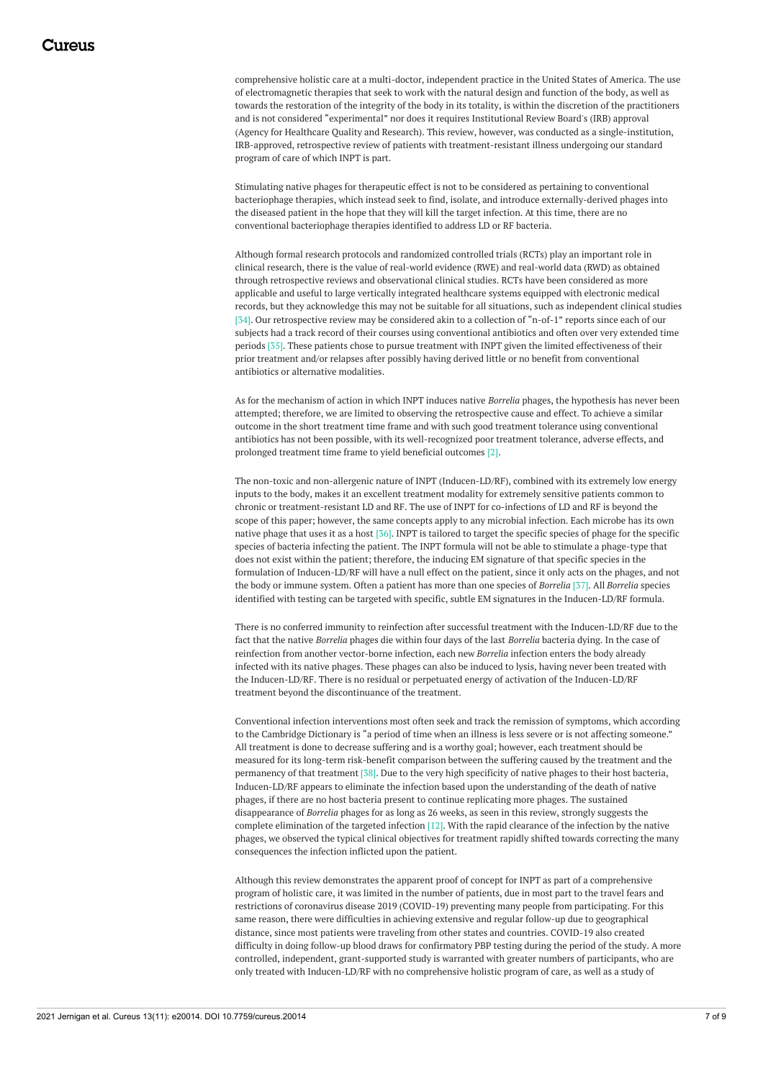comprehensive holistic care at a multi-doctor, independent practice in the United States of America. The use of electromagnetic therapies that seek to work with the natural design and function of the body, as well as towards the restoration of the integrity of the body in its totality, is within the discretion of the practitioners and is not considered "experimental" nor does it requires Institutional Review Board's (IRB) approval (Agency for Healthcare Quality and Research). This review, however, was conducted as a single-institution, IRB-approved, retrospective review of patients with treatment-resistant illness undergoing our standard program of care of which INPT is part.

Stimulating native phages for therapeutic effect is not to be considered as pertaining to conventional bacteriophage therapies, which instead seek to find, isolate, and introduce externally-derived phages into the diseased patient in the hope that they will kill the target infection. At this time, there are no conventional bacteriophage therapies identified to address LD or RF bacteria.

Although formal research protocols and randomized controlled trials (RCTs) play an important role in clinical research, there is the value of real-world evidence (RWE) and real-world data (RWD) as obtained through retrospective reviews and observational clinical studies. RCTs have been considered as more applicable and useful to large vertically integrated healthcare systems equipped with electronic medical records, but they acknowledge this may not be suitable for all situations, such as independent clinical studies [34]. Our retrospective review may be considered akin to a collection of "n-of-1" reports since each of our subjects had a track record of their courses using conventional antibiotics and often over very extended time periods [35]. These patients chose to pursue treatment with INPT given the limited effectiveness of their prior treatment and/or relapses after possibly having derived little or no benefit from conventional antibiotics or alternative modalities.

As for the mechanism of action in which INPT induces native *Borrelia* phages, the hypothesis has never been attempted; therefore, we are limited to observing the retrospective cause and effect. To achieve a similar outcome in the short treatment time frame and with such good treatment tolerance using conventional antibiotics has not been possible, with its well-recognized poor treatment tolerance, adverse effects, and prolonged treatment time frame to yield beneficial outcomes [2].

The non-toxic and non-allergenic nature of INPT (Inducen-LD/RF), combined with its extremely low energy inputs to the body, makes it an excellent treatment modality for extremely sensitive patients common to chronic or treatment-resistant LD and RF. The use of INPT for co-infections of LD and RF is beyond the scope of this paper; however, the same concepts apply to any microbial infection. Each microbe has its own native phage that uses it as a host [36]. INPT is tailored to target the specific species of phage for the specific species of bacteria infecting the patient. The INPT formula will not be able to stimulate a phage-type that does not exist within the patient; therefore, the inducing EM signature of that specific species in the formulation of Inducen-LD/RF will have a null effect on the patient, since it only acts on the phages, and not the body or immune system. Often a patient has more than one species of *Borrelia* [37]. All *Borrelia* species identified with testing can be targeted with specific, subtle EM signatures in the Inducen-LD/RF formula.

There is no conferred immunity to reinfection after successful treatment with the Inducen-LD/RF due to the fact that the native *Borrelia* phages die within four days of the last *Borrelia* bacteria dying. In the case of reinfection from another vector-borne infection, each new *Borrelia* infection enters the body already infected with its native phages. These phages can also be induced to lysis, having never been treated with the Inducen-LD/RF. There is no residual or perpetuated energy of activation of the Inducen-LD/RF treatment beyond the discontinuance of the treatment.

Conventional infection interventions most often seek and track the remission of symptoms, which according to the Cambridge Dictionary is "a period of time when an illness is less severe or is not affecting someone." All treatment is done to decrease suffering and is a worthy goal; however, each treatment should be measured for its long-term risk-benefit comparison between the suffering caused by the treatment and the permanency of that treatment [38]. Due to the very high specificity of native phages to their host bacteria, Inducen-LD/RF appears to eliminate the infection based upon the understanding of the death of native phages, if there are no host bacteria present to continue replicating more phages. The sustained disappearance of *Borrelia* phages for as long as 26 weeks, as seen in this review, strongly suggests the complete elimination of the targeted infection [12]. With the rapid clearance of the infection by the native phages, we observed the typical clinical objectives for treatment rapidly shifted towards correcting the many consequences the infection inflicted upon the patient.

Although this review demonstrates the apparent proof of concept for INPT as part of a comprehensive program of holistic care, it was limited in the number of patients, due in most part to the travel fears and restrictions of coronavirus disease 2019 (COVID-19) preventing many people from participating. For this same reason, there were difficulties in achieving extensive and regular follow-up due to geographical distance, since most patients were traveling from other states and countries. COVID-19 also created difficulty in doing follow-up blood draws for confirmatory PBP testing during the period of the study. A more controlled, independent, grant-supported study is warranted with greater numbers of participants, who are only treated with Inducen-LD/RF with no comprehensive holistic program of care, as well as a study of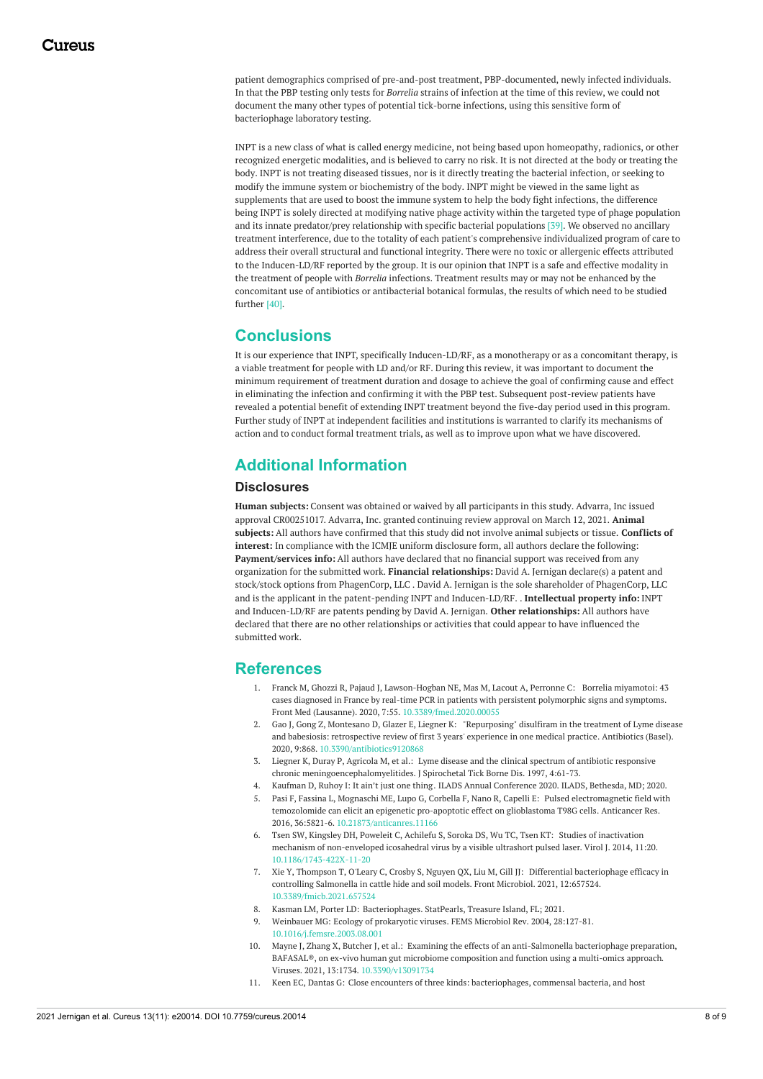patient demographics comprised of pre-and-post treatment, PBP-documented, newly infected individuals. In that the PBP testing only tests for *Borrelia* strains of infection at the time of this review, we could not document the many other types of potential tick-borne infections, using this sensitive form of bacteriophage laboratory testing.

INPT is a new class of what is called energy medicine, not being based upon homeopathy, radionics, or other recognized energetic modalities, and is believed to carry no risk. It is not directed at the body or treating the body. INPT is not treating diseased tissues, nor is it directly treating the bacterial infection, or seeking to modify the immune system or biochemistry of the body. INPT might be viewed in the same light as supplements that are used to boost the immune system to help the body fight infections, the difference being INPT is solely directed at modifying native phage activity within the targeted type of phage population and its innate predator/prey relationship with specific bacterial populations [39]. We observed no ancillary treatment interference, due to the totality of each patient's comprehensive individualized program of care to address their overall structural and functional integrity. There were no toxic or allergenic effects attributed to the Inducen-LD/RF reported by the group. It is our opinion that INPT is a safe and effective modality in the treatment of people with *Borrelia* infections. Treatment results may or may not be enhanced by the concomitant use of antibiotics or antibacterial botanical formulas, the results of which need to be studied further [40].

# **Conclusions**

It is our experience that INPT, specifically Inducen-LD/RF, as a monotherapy or as a concomitant therapy, is a viable treatment for people with LD and/or RF. During this review, it was important to document the minimum requirement of treatment duration and dosage to achieve the goal of confirming cause and effect in eliminating the infection and confirming it with the PBP test. Subsequent post-review patients have revealed a potential benefit of extending INPT treatment beyond the five-day period used in this program. Further study of INPT at independent facilities and institutions is warranted to clarify its mechanisms of action and to conduct formal treatment trials, as well as to improve upon what we have discovered.

# **Additional Information**

#### **Disclosures**

**Human subjects:** Consent was obtained or waived by all participants in this study. Advarra, Inc issued approval CR00251017. Advarra, Inc. granted continuing review approval on March 12, 2021. **Animal subjects:** All authors have confirmed that this study did not involve animal subjects or tissue. **Conflicts of interest:** In compliance with the ICMJE uniform disclosure form, all authors declare the following: **Payment/services info:** All authors have declared that no financial support was received from any organization for the submitted work. **Financial relationships:** David A. Jernigan declare(s) a patent and stock/stock options from PhagenCorp, LLC . David A. Jernigan is the sole shareholder of PhagenCorp, LLC and is the applicant in the patent-pending INPT and Inducen-LD/RF. . **Intellectual property info:**INPT and Inducen-LD/RF are patents pending by David A. Jernigan. **Other relationships:** All authors have declared that there are no other relationships or activities that could appear to have influenced the submitted work.

# **References**

- 1. Franck M, Ghozzi R, Pajaud J, [Lawson-Hogban](https://dx.doi.org/10.3389/fmed.2020.00055) NE, Mas M, Lacout A, Perronne C: Borrelia miyamotoi: 43 cases diagnosed in France by real-time PCR in patients with persistent polymorphic signs and symptoms. Front Med (Lausanne). 2020, 7:55. [10.3389/fmed.2020.00055](https://dx.doi.org/10.3389/fmed.2020.00055)
- 2. Gao J, Gong Z, Montesano D, Glazer E, Liegner K: ["Repurposing"](https://dx.doi.org/10.3390/antibiotics9120868) disulfiram in the treatment of Lyme disease and babesiosis: retrospective review of first 3 years' experience in one medical practice. Antibiotics (Basel). 2020, 9:868, 10.3390/antibiotics912086
- 3. Liegner K, Duray P, Agricola M, et al.: Lyme disease and the clinical spectrum of antibiotic responsive chronic [meningoencephalomyelitides.](https://www.marist.edu/documents/20182/469894/18F+Science+Potpourri+3d.pdf/4b771382-efac-4b9b-b58d-464f7e8dac76) J Spirochetal Tick Borne Dis. 1997, 4:61-73.
- 4. Kaufman D, Ruhoy I: It ain't just one [thing](https://www.ilads.org/ilads-conference/ilads-annual-conference-2020/abstract/). ILADS Annual Conference 2020. ILADS, Bethesda, MD; 2020.
- 5. Pasi F, Fassina L, Mognaschi ME, Lupo G, Corbella F, Nano R, Capelli E: Pulsed [electromagnetic](https://dx.doi.org/10.21873/anticanres.11166) field with temozolomide can elicit an epigenetic pro-apoptotic effect on glioblastoma T98G cells. Anticancer Res. 2016, 36:5821-6. [10.21873/anticanres.11166](https://dx.doi.org/10.21873/anticanres.11166)
- 6. Tsen SW, Kingsley DH, Poweleit C, Achilefu S, Soroka DS, Wu TC, Tsen KT: Studies of inactivation mechanism of [non-enveloped](https://dx.doi.org/10.1186/1743-422X-11-20) icosahedral virus by a visible ultrashort pulsed laser. Virol J. 2014, 11:20. [10.1186/1743-422X-11-20](https://dx.doi.org/10.1186/1743-422X-11-20)
- 7. Xie Y, Thompson T, O'Leary C, Crosby S, Nguyen QX, Liu M, Gill JJ: Differential [bacteriophage](https://dx.doi.org/10.3389/fmicb.2021.657524) efficacy in controlling Salmonella in cattle hide and soil models. Front Microbiol. 2021, 12:657524. [10.3389/fmicb.2021.657524](https://dx.doi.org/10.3389/fmicb.2021.657524)
- 8. Kasman LM, Porter LD: [Bacteriophages.](https://pubmed.ncbi.nlm.nih.gov/29630237/) StatPearls, Treasure Island, FL; 2021.
- 9. Weinbauer MG: Ecology of [prokaryotic](https://dx.doi.org/10.1016/j.femsre.2003.08.001) viruses. FEMS Microbiol Rev. 2004, 28:127-81. [10.1016/j.femsre.2003.08.001](https://dx.doi.org/10.1016/j.femsre.2003.08.001)
- 10. Mayne J, Zhang X, Butcher J, et al.: Examining the effects of an [anti-Salmonella](https://dx.doi.org/10.3390/v13091734) bacteriophage preparation, BAFASAL®, on ex-vivo human gut microbiome composition and function using a multi-omics approach. Viruses. 2021, 13:1734. [10.3390/v13091734](https://dx.doi.org/10.3390/v13091734)
- 11. Keen EC, Dantas G: Close encounters of three kinds: [bacteriophages,](https://dx.doi.org/10.1016/j.tim.2018.05.009) commensal bacteria, and host